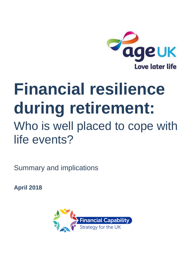

# **Financial resilience during retirement:** Who is well placed to cope with life events?

Summary and implications

**April 2018**

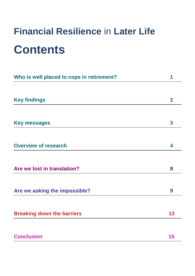# **Financial Resilience** in **Later Life Contents**

| Who is well placed to cope in retirement? | 1                       |
|-------------------------------------------|-------------------------|
|                                           |                         |
| <b>Key findings</b>                       | $\overline{2}$          |
|                                           |                         |
| <b>Key messages</b>                       | $\overline{\mathbf{3}}$ |
|                                           |                         |
| <b>Overview of research</b>               | 4                       |
|                                           |                         |
| Are we lost in translation?               | 8                       |
| Are we asking the impossible?             | 9                       |
|                                           |                         |
| <b>Breaking down the barriers</b>         | 13                      |
|                                           |                         |
| <b>Conclusion</b>                         | 15                      |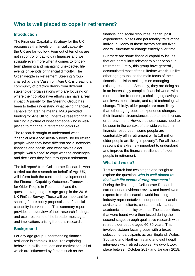### **Who is well placed to cope in retirement?**

#### **Introduction**

The Financial Capability Strategy for the UK recognises that levels of financial capability in the UK are far too low. Four out of ten of us are not in control of day to day finances and we struggle even more when it comes to longerterm planning and managing unexpected life events or periods of financial difficulty. The Older People in Retirement Steering Group<sup>i</sup>, chaired by Jane Vass from Age UK, is creating a community of practice drawn from different stakeholder organisations who are focusing on where their collaborative efforts can have a real impact. A priority for the Steering Group has been to better understand what being financially capable for later life means. MAS provided funding for Age UK to undertake research that is building a picture of what someone who is wellplaced to manage in retirement looks like.

The research sought to understand what 'financial resilience' actually looks like for retired people when they have different social networks, finances and health, and what makes older people 'well placed' to cope with the challenges and decisions they face throughout retirement.

The full report<sup>ii</sup> from Collaborate Research, who carried out the research on behalf of Age UK, will inform both the continued development of the Financial Capability Outcomes Framework for Older People in Retirement<sup>iii</sup> and the questions targeting this age group in the 2018 UK FinCap Survey. These will be important for shaping future policy proposals and financial capability interventions. This summary report provides an overview of their research findings, and explores some of the broader messages and implications arising from this research.

#### **Background**

For any age group, understanding financial resilience is complex. It requires exploring behaviour, skills, attitudes and motivations, all of which are influenced by factors such as the

financial and social resources, health, past experiences, biases and personality traits of the individual. Many of these factors are not fixed and will fluctuate or change entirely over time.

But there are some financial capability issues that are particularly relevant to older people in retirement. Firstly, this group have generally accumulated most of their lifetime wealth, unlike other age groups, so the main focus of their financial decision-making is on managing existing resources. Secondly, they are doing so in an increasingly complex financial world, with more pension freedoms, a challenging savings and investment climate, and rapid technological change. Thirdly, older people are more likely than other age groups to experience changes in their financial circumstances due to health crises or bereavement. However, these issues need to be seen in the context of the wide variation in financial resources – some people are comfortably off in retirement while 1.9 million older people are living in poverty<sup>iv</sup>. For all these reasons it is extremely important to understand and improve the financial resilience of older people in retirement.

#### **What did we do?**

This research had two stages and sought to explore the question: *who is well placed to deal with life events during retirement?*

During the first stage, Collaborate Research carried out an evidence review and interviewed experts from the financial world including industry representatives, independent financial advisers, consultants, consumer advocates, academics and policy experts. The suppositions that were found were then tested during the second stage, through qualitative research with retired older people aged 60-89 years. This involved sixteen focus groups with a broad selection of participants across England, Wales, Scotland and Northern Ireland and eight depth interviews with retired couples. Fieldwork took place between October 2017 and January 2018.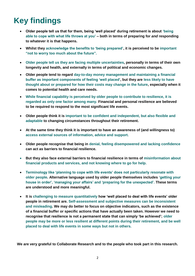# **Key findings**

- **Older people tell us that for them, being 'well placed' during retirement is about 'being able to cope with what life throws at you' – both in terms of preparing for** *and* **responding to whatever it is that happens.**
- **Whilst they acknowledge the benefits to 'being prepared', it is perceived to be important "not to worry too much about the future".**
- **Older people tell us they are facing multiple uncertainties, personally in terms of their own longevity and health, and externally in terms of political and economic changes.**
- **Older people tend to regard day-to-day money management and maintaining a financial buffer as important components of feeling 'well placed', but they are less likely to have thought about or prepared for how their costs may change in the future, especially when it comes to potential health and care needs.**
- **While financial capability is perceived by older people to contribute to resilience, it is regarded as only one factor among many. Financial and personal resilience are believed to be required to respond to the most significant life events.**
- **Older people think it is important to be confident and independent, but also flexible and adaptable to changing circumstances throughout their retirement.**
- **At the same time they think it is important to have an awareness of (and willingness to) access external sources of information, advice and support.**
- **Older people recognise that being in denial, feeling disempowered and lacking confidence can act as barriers to financial resilience.**
- **But they also face external barriers to financial resilience in terms of misinformation about financial products and services, and not knowing where to go for help.**
- **Terminology like 'planning to cope with life events' does not particularly resonate with older people. Alternative language used by older people themselves includes 'getting your house in order', 'managing your affairs' and 'preparing for the unexpected'. These terms are understood and more meaningful.**
- **It is challenging to measure quantitatively how 'well placed to deal with life events' older people in retirement are. Self-assessment and subjective measures can be inconsistent and misleading. We may do better to focus on objective indicators, such as the existence of a financial buffer or specific actions that have actually been taken. However we need to recognise that resilience is not a permanent state that can simply 'be achieved'; older people may be more or less resilient at different points during their retirement, and be well placed to deal with life events in some ways but not in others.**

**We are very grateful to Collaborate Research and to the people who took part in this research.**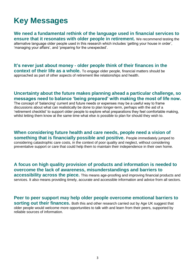# **Key Messages**

**We need a fundamental rethink of the language used in financial services to ensure that it resonates with older people in retirement.** We recommend testing the alternative language older people used in this research which includes 'getting your house in order',

'managing your affairs', and 'preparing for the unexpected'.

**It's never just about money - older people think of their finances in the context of their life as a whole.** To engage older people, financial matters should be approached as part of other aspects of retirement like relationships and health.

#### **Uncertainty about the future makes planning ahead a particular challenge, so messages need to balance 'being prepared' with making the most of life now.**

The concept of 'balancing' current and future needs or expenses may be a useful way to frame discussions about what can realistically be done to plan longer-term, perhaps with the aid of a 'retirement checklist' to support older people to explore what preparations they feel comfortable making, whilst letting them know at the same time what else *is* possible to plan for should they wish to.

**When considering future health and care needs, people need a vision of something that is financially possible and positive.** People immediately jumped to considering catastrophic care costs, in the context of poor quality and neglect, without considering preventative support or care that could help them to maintain their independence in their own home.

**A focus on high quality provision of products and information is needed to overcome the lack of awareness, misunderstandings and barriers to accessibility across the piece.** This means age-proofing and improving financial products and services. It also means providing timely, accurate and accessible information and advice from all sectors.

**Peer to peer support may help older people overcome emotional barriers to sorting out their finances.** Both this and other research carried out by Age UK suggest that older people would welcome more opportunities to talk with and learn from their peers, supported by reliable sources of information.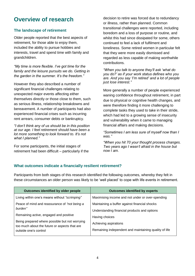## **Overview of research**

#### **The landscape of retirement**

Older people reported that the best aspects of retirement, for those able to enjoy them, included the ability to pursue hobbies and interests, travel and spend time with family and grandchildren.

*"My time is more flexible. I've got time for the family and the leisure pursuits we do. Getting in the garden in the summer. It's the freedom."*

However they also described a number of significant financial challenges relating to unexpected major events affecting either themselves directly or those close to them, such as serious illness, relationship breakdowns and bereavement. A number of participants had also experienced financial crises such as incurring rent arrears, consumer debts or bankruptcy.

*"I don't think any of us should be in this position at our age. I feel retirement should have been a lot more something to look forward to. It's not what I planned."*

For some participants, the initial stages of retirement had been difficult – particularly if the decision to retire was forced due to redundancy or illness, rather than planned. Common transitional challenges were reported, including boredom and a loss of purpose or routine, and whilst this had since dissipated for some, others continued to feel a lack of fulfilment and loneliness. Some retired women in particular felt that they were more easily dismissed and regarded as less capable of making worthwhile contributions.

*"When you talk to anyone they'll ask 'what do you do?' as if your work status defines who you are. And you say 'I'm retired' and a lot of people just lose interest."*

More generally a number of people experienced waning confidence throughout retirement, in part due to physical or cognitive health changes, and were therefore finding it more challenging to complete tasks they used to take in their stride, which had led to a growing sense of insecurity and vulnerability when it came to managing financial affairs and making decisions.

*"Sometimes I am less sure of myself now than I was."*

*"When you hit 70 your thought process changes. Two years ago I wasn't afraid in the house but now I am.*

#### **What outcomes indicate a financially resilient retirement?**

Participants from both stages of this research identified the following outcomes, whereby they felt in these circumstances an older person was likely to be 'well placed' to cope with life events in retirement.

| Outcomes identified by older people                                                             | <b>Outcomes identified by experts</b>                 |
|-------------------------------------------------------------------------------------------------|-------------------------------------------------------|
| Living within one's means without "scrimping"                                                   | Maximising income and not under or over-spending      |
| Peace of mind and reassurance of "not being a<br>burden"                                        | Maintaining a buffer against financial shocks         |
|                                                                                                 | Understanding financial products and options          |
| Remaining active, engaged and positive                                                          | Having choices                                        |
| Being prepared where possible but not worrying<br>too much about the future or aspects that are | Achieving aspirations                                 |
| outside one's control                                                                           | Remaining independent and maintaining quality of life |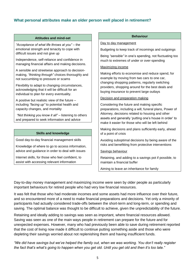#### **What personal attributes make an older person well placed in retirement?**

#### **Attitudes and mind-set**

*"Acceptance of what life throws at you"* – the emotional strength and tenacity to cope with difficult issues and not give up

Independence, self-reliance and confidence in managing financial affairs and making decisions.

A sensible and streetwise approach to decisionmaking, *"thinking through"* choices thoroughly and not succumbing to pressure or scams

Flexibility to adapt to changing circumstances, acknowledging that it will be difficult for an individual to plan for every eventuality.

A positive but realistic view of the future – including *"facing up"* to potential health and capacity changes, and mortality

*"Not thinking you know it all"* – listening to others and prepared to seek information and advice

#### **Skills and knowledge**

Good day-to-day financial management skills

Knowledge of where to go to access information, advice and guidance in order to deal with issues

Internet skills, for those who feel confident, to assist with accessing relevant information

#### **Behaviour**

Day to day management

Budgeting to keep track of incomings and outgoings

Being *"sensible"* in one's spending, not fluctuating too much to extremes of under or over-spending

#### Maximizing income

Making efforts to economise and reduce spend, for example by moving from two cars to one car, changing shopping patterns, regularly switching providers, shopping around for the best deals and buying insurance to prevent large outlays

#### Decision and preparation making

Considering the future and making specific preparations, including a will, funeral plans, Power of Attorney, decisions related to housing and other assets and generally 'putting one's house in order' to make it easier for those who will be left behind

Making decisions and plans sufficiently early, ahead of a point of crisis

Avoiding suboptimal decisions by being aware of the risks and benefitting from protective interventions

#### Savings behaviour

Retaining, and adding to a savings pot if possible, to maintain a financial buffer

Aiming to leave an inheritance for family

Day-to-day money management and maximizing income were seen by older people as particularly important behaviours for retired people who had very low financial resources.

It was felt that those who had moderate incomes and some assets had more influence over their future, and so encountered more of a need to make financial preparations and decisions. Yet only a minority of participants had actually considered trade-offs between the short-term and long-term, or spending and saving. The optimal balance was thought to be difficult to achieve, given the unpredictability of the future.

Retaining and ideally adding to savings was seen as important, where financial resources allowed. Saving was seen as one of the main ways people in retirement can prepare for the future and for unexpected expenses. However, many who had previously been able to save during retirement reported that the cost of living now made it difficult to continue putting something aside and those who were depleting their savings worried about not replenishing them and having insufficient funds.

*"We did have savings but we've helped the family out, when we was working. You don't really register the fact that's what's going to happen when you get old. Until you get old and then it's too late."*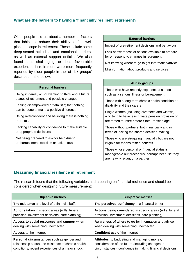#### **What are the barriers to having a 'financially resilient' retirement?**

Older people told us about a number of factors that inhibit or reduce their ability to feel well placed to cope in retirement. These include some deep-seated attitudinal and emotional barriers, as well as external support deficits. We also found that challenging or less favourable experiences in retirement were more frequently reported by older people in the 'at risk groups' described in the below.

#### **Personal barriers**

Being in denial, or not wanting to think about future stages of retirement and possible changes

Feeling disempowered or fatalistic; that nothing can be done to make a positive difference

Being overconfident and believing there is nothing more to do

Lacking capability or confidence to make suitable or appropriate decisions

Not being prepared to ask for help due to embarrassment, stoicism or lack of trust

#### **External barriers**

Impact of pre-retirement decisions and behaviour

Lack of awareness of options available to prepare for or respond to changes in retirement

Not knowing where to go to get information/advice

Misinformation about products and services

#### **At risk groups**

Those who have recently experienced a shock such as a serious illness or bereavement

Those with a long-term chronic health condition or disability and their carers

Single women (including divorcees and widows), who tend to have less private pension provision or are forced to retire before State Pension age

Those without partners, both financially and in terms of lacking the shared decision-making

Those who are struggling financially but are not eligible for means tested benefits

Those whose personal or financial status is manageable but precarious, perhaps because they are heavily reliant on a partner

#### **Measuring financial resilience in retirement**

The research found that the following variables had a bearing on financial resilience and should be considered when designing future measurement:

| <b>Objective metrics</b>                             | <b>Subjective metrics</b>                                  |
|------------------------------------------------------|------------------------------------------------------------|
| The existence and level of a financial buffer        | The perceived sufficiency of a financial buffer            |
| Actions taken in specific areas (wills, funeral      | Actions being considered in specific areas (wills, funeral |
| provision, investment decisions, care planning)      | provision, investment decisions, care planning)            |
| Access to social resources and support when          | Awareness of where to go for information and advice        |
| dealing with something unexpected                    | when dealing with something unexpected                     |
| <b>Access</b> to the internet                        | <b>Confident use of the internet</b>                       |
| Personal circumstances such as gender and            | Attitudes to budgeting and managing money,                 |
| relationship status, the existence of chronic health | consideration of the future (including changes to          |
| conditions, recent experiences of a major shock      | circumstances), confidence in making financial decisions   |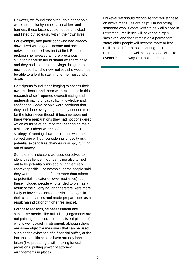However, we found that although older people were able to list hypothetical enablers and barriers, these factors could not be unpicked and listed out so easily within their own lives.

For example, one participant who had already downsized with a good income and social network, appeared resilient at first. But upon probing she revealed a more precarious situation because her husband was terminally ill and they had spent their savings doing up the new house that she now realized she would not be able to afford to stay in after her husband's death.

Participants found it challenging to assess their own resilience, and there were examples in this research of self-reported overestimating and underestimating of capability, knowledge and confidence. Some people were confident that they had done everything that they needed to do for the future even though it became apparent there were preparations they had not considered which could have an important bearing on their resilience. Others were confident that their strategy of running down their funds was the correct one without considering longevity risk, potential expenditure changes or simply running out of money.

Some of the indicators we used ourselves to identify resilience in our sampling also turned out to be potentially misleading and entirely context specific. For example, some people said they worried about the future more than others (a potential indicator of lower resilience), but these included people who tended to plan as a result of their worrying, and therefore were more likely to have considered possible changes in their circumstances and made preparations as a result (an indicator of higher resilience).

For these reasons, self-assessment and subjective metrics like attitudinal judgements are not painting an accurate or consistent picture of who is well placed in retirement, although there are some objective measures that can be used, such as the existence of a financial buffer, or the fact that specific actions have actually been taken (like preparing a will, making funeral provisions, putting power of attorney arrangements in place).

However we should recognize that whilst these objective measures are helpful in indicating someone who is *more likely* to be well placed in retirement, resilience will never be simply 'achieved' and then remain as a permanent state; older people will become more or less resilient at different points during their retirement, and be well placed to deal with life events in some ways but not in others.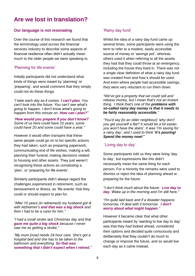### **Are we lost in translation?**

#### **Our language is not resonating**

Over the course of this research we found that the terminology used across the financial services industry to describe some aspects of financial resilience often didn't actually mean much to the older people we were speaking to.

#### 'Planning for life events'

Initially participants did not understand what kinds of things were meant by 'planning' or 'preparing', and would comment that they simply could not do these things.

*"I take each day as it comes. I can't plan. You can't look into the future. You can't see what's going to happen. I don't know what's going to happen from this minute on. How can I plan?"*

*"How would you prepare if you don't know? Some of us here could have 10 years, some could have 20 and some could have a year."*

However it would often transpire that these same people could go on to list specific actions they had taken, such as preparing paperwork, communicating end of life wishes, making a will, planning their funeral, making decisions related to housing and other assets. They just weren't recognising these actions as constituting a 'plan', or 'preparing for life events'.

Similarly participants didn't always regard the challenges experienced in retirement, such as bereavement or illness, as 'life events' that they could or should expect to plan for.

*"After 10 years (in retirement) my husband got ill with Alzheimer's and that was a big shock and then I had to be a carer for him."*

*"I had a small stroke last Christmas day and that gave me quite a big shock because I never saw me as getting a stroke."*

*"My mum [now] needs 24 hour care. She's got a hospital bed and she has to be taken to the bathroom and everything. So that was something that I didn't expect when I retired."* 

#### 'Rainy day fund'

Whilst the idea of a rainy day fund came up several times, some participants were using the term to refer to a modest, easily accessible source of money or 'savings pot', whereas others used it when referring to all the assets they had that they could throw at an emergency, including the house they lived in. There was not a single clear definition of what a rainy day fund was created from and how it should be used. And even where people had accessible savings, they were very reluctant to run them down.

*"We've got a property that we could sell and release money, but I mean that's not an instant thing. I think that's one of the problems with so-called rainy day money is that it needs to be fairly reasonably accessible."*

*"You'd say [to an older neighbour] 'why don't you get yourself a flat? It would be a lot easier, you won't have the stairs'. It was 'I'm saving for a rainy day', and I used to think 'it's pouring! Spend the money now!'"* 

#### 'Living day to day'

Some participants told us they were living 'day to day', but expressions like this didn't necessarily mean the same thing for each person. For a minority the remarks were used to dismiss or reject the idea of planning ahead or preparing for the future.

*"I don't think much about the future. Live day to day. Wake up in the morning and I'm still here."*

*"I'm quite laid back and if a disaster happens tomorrow, I'll deal with it tomorrow. I don't worry about what might happen."* 

However it became clear that what other participants meant by 'wanting to live day to day' was that they *had* looked ahead, considered their options and decided quite consciously and deliberately that they couldn't do much to change or improve the future, and so would live each day as it came instead.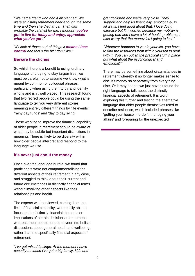*"We had a friend who had it all planned. We were all hitting retirement near enough the same time and then she died at 59. That was probably the catalyst for me, I thought 'you've got to live for today and enjoy, appreciate what you've got'."* 

*"If I look at those sort of things it means I lose control and that's the bit I don't like."*

#### **Beware the clichés**

So whilst there is a benefit to using 'ordinary language' and trying to stay jargon-free, we must be careful not to assume we know what is meant by common or colloquial phrases, particularly when using them to try and identify who is and isn't well placed. This research found that two retired people could be using the same language to tell you very different stories, meaning entirely different things by 'life events', 'rainy day funds' and 'day to day living'.

Those working to improve the financial capability of older people in retirement should be aware of what may be subtle but important distinctions in meaning. There is likely to be diversity within how older people interpret and respond to the language we use.

#### **It's never just about the money**

Once over the language hurdle, we found that participants were not compartmentalising the different aspects of their retirement in any case, and struggled to think about their current and future circumstances in distinctly financial terms without involving other aspects like their relationships and health.

The experts we interviewed, coming from the field of financial capability, were easily able to focus on the distinctly financial elements or implications of certain decisions in retirement, whereas older people tended to veer into holistic discussions about general health and wellbeing, rather than the specifically financial aspects of retirement.

*"I've got mixed feelings. At the moment I have security because I've got a big family, kids and*  *grandchildren and we're very close. They support and help us financially, emotionally, in all ways. I feel good about that. I love doing exercise but I'm worried because my mobility is getting bad and I have a lot of health problems. I also worry that the money isn't going to last."* 

*"Whatever happens to you in your life, you have to find the resources from within yourself to deal with it. You can put all the practical stuff in place but what about the psychological and emotional?"* 

There may be something about circumstances in retirement whereby it no longer makes sense to discuss money so separately from everything else. Or it may be that we just haven't found the right language to talk about the distinctly financial aspects of retirement. It is worth exploring this further and testing the alternative language that older people themselves used to describe resilience, which included phrases like 'getting your house in order', 'managing your affairs' and 'preparing for the unexpected'.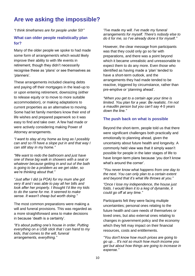## **Are we asking the impossible?**

*"I think timeframes are for people under 50!"*

#### **What can older people realistically plan for?**

Many of the older people we spoke to had made some form of arrangement/s which would likely improve their ability to with life events in retirement, though they didn't necessarily recognise these as 'plans' or see themselves as 'planners'.

These arrangements included clearing debts and paying off their mortgages in the lead-up to or upon entering retirement, downsizing (either to release equity or to move to more suitable accommodation), or making adaptations to current properties as an alternative to moving. Some had let family members know their end of life wishes and prepared paperwork so it was easy to find and take over. A few had made or were actively considering making Power of Attorney arrangements.

*"I want to stay at my home as long as I possibly can and so I'll have a slope put in and that way I can still stay in my home."* 

*"We want to redo the bathroom and just have one of these big walk in showers with a seat or whatever because getting in and out of the bath is going to be a problem as we get older, so we're thinking about that."* 

*"Just after I did (a POA) for my mum she got very ill and I was able to pay all her bills and look after her properly. I thought I'd like my kids to do the same for me. It seemed to make sense. It wasn't cheap but worth doing."*

The most common preparations were making a will and funeral provisions. This was regarded as a more straightforward area to make decisions in because 'death is a certainty'.

*"It's about putting one's house in order. Putting everything on a USB stick that I can hand to my kids, that comes to the will, funeral arrangements, everything."* 

*"I've made my will. I've made my funeral arrangements for myself. There's nobody else to do it for me, so I've already done it for myself."*

However, the clear message from participants was that they could only go so far with preparations, and there was a point beyond which it became unrealistic and unreasonable to expect them to do any more. Even those who identified as having made a 'plan' tended to have a short-term outlook, and the arrangements they had made tended to be reactive, triggered by circumstance, rather than pre-emptive or 'planning ahead'.

*"When you get to a certain age your time is limited. You plan for a year. Be realistic. I'm not a maudlin person but you can't say 4-5 years down the line."* 

#### **The push back on what is possible**

Beyond the short-term, people told us that there were significant challenges both practically and emotionally to planning ahead, given the uncertainty about future health and longevity. A commonly held view was that it simply wasn't possible for people in the later stages of life to have longer-term plans because 'you don't know what's around the corner'.

*"You never know what happens from one day to the next. You can only plan to a certain extent and beyond that it's what life throws at you."*

*"Once I lose my independence, the house just folds. I would liken it to a keg of dynamite, it could go off at any time."*

Participants felt they were facing multiple uncertainties; personal ones relating to the future health and care needs of themselves or loved ones, but also external ones relating to changes in government policy and the economy which they felt may impact on their financial resources, costs and entitlements.

*"You don't know how much prices are going to go up… It's not so much how much income you get but about how things are going to increase in expense."*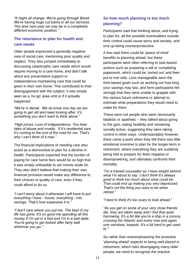*"It might all change. We're going through Brexit. We're having huge cut backs in all our services. This time next year we may be in a completely different economic position."*

#### **The reluctance to plan for health and care needs**

Older people expressed a generally negative view of social care, mentioning poor quality and neglect. They also jumped immediately to discussing catastrophic care needs which would require moving to a care home, and didn't talk about any preventative support or independence-maintaining care that could be given in their own home. This contributed to their disengagement with the subject; it was simply seen as a 'no go' area until or if it actually happened.

*"We're in denial. We do know one day we are going to get old and need looking after. It's something you don't want to think about."* 

*"High prices. Loss of independence. You hear tales of abuse and cruelty. If it's residential care it's coming to the end of the road for me. That's why I can't think of it now."* 

The financial implications of needing care also acted as a disincentive to plan for a decline in health. Participants expected that the burden of paying for care home fees would be so high that it was simply unfeasible to set money aside for. They also didn't believe that making their own financial provision would make any difference to their choices or quality of care, even if they could afford to do so.

*"I can't worry about it otherwise I will have to put everything I have - house, everything - into savings. That's how expensive it is."* 

*"I don't care where you put me. The best of my life has gone. It's no good me spending all this money if I'm sat in a bed and I'm in a bad state. You're going to get looked after fairly well wherever you go."* 

#### **So how much planning is too much planning?**

Participants said that thinking about, and trying to plan for, all the possible eventualities outside their control could cause worry and anxiety, and end up being counterproductive.

A few said there could be 'peace of mind' benefits to planning ahead, but these participants were often referring to task-based actions such as preparing a will or completing paperwork, which could be 'sorted out' and then put to one side. Less manageable were the time-based goals such as working out how long your savings may last, and here participants felt strongly that they were unable to grapple with the various future unknowns or attempt to estimate what preparations they would need to make for them.

These were not people who were necessarily fatalistic or apathetic – they talked about going to the gym, eating healthily and remaining socially active, suggesting they were taking control in other ways. Understandably however, there came a point when they felt there was little emotional incentive to plan for the longer-term in retirement, where everything they are suddenly being told to prepare for feels negative or disempowering, and ultimately confronts their mortality.

*"I'm a trained counsellor so I have weight behind what I'm about to say. I don't think it's always good to think too much about what could be. That could end up making you very depressed. That's not the thing you want to be when retired."*

*"I tend to think it's too scary to look ahead."* 

*"As you get on some of your very close friends die, they are taken away and I find that quite harrowing. It's a bit like you're a ship in a convoy crossing the Atlantic and every now and again one vanishes, torpedo. It's a bit hard to get used to."*

So rather than overemphasizing the proactive 'planning ahead' aspects to being well placed in retirement, which risks disengaging many older people, we need to recognize the reactive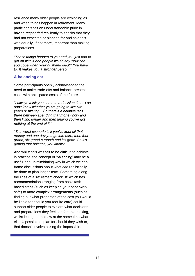resilience many older people are exhibiting as and when things happen in retirement. Many participants felt an understandable pride in having *responded* resiliently to shocks that they had not expected or planned for and said this was equally, if not more, important than making preparations.

*"These things happen to you and you just had to get on with it and people would say 'how can you cope when your husband died?' You have to. It makes you a stronger person."*

#### **A balancing act**

Some participants openly acknowledged the need to make trade-offs and balance present costs with anticipated costs of the future.

*"I always think you come to a decision time. You don't know whether you're going to live two years or twenty… So there's a balance isn't there between spending that money now and then living longer and then finding you've got nothing at the end of it."* 

*"The worst scenario is if you've kept all that money and one day you go into care, then four grand, six grand a month and it's gone. So it's getting that balance, you know?"* 

And whilst this was felt to be difficult to achieve in practice, the concept of 'balancing' may be a useful and unintimidating way in which we can frame discussions about what *can* realistically be done to plan longer-term. Something along the lines of a 'retirement checklist' which has recommendations ranging from basic taskbased steps (such as keeping your paperwork safe) to more complex arrangements (such as finding out what proportion of the cost you would be liable for should you require care) could support older people to explore what decisions and preparations they feel comfortable making, whilst letting them know at the same time what else *is* possible to plan for should they wish to, that doesn't involve asking the impossible.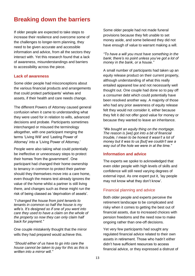### **Breaking down the barriers**

If older people are expected to take steps to increase their resilience and overcome some of the challenges to longer-term planning, they need to be given accurate and accessible information and advice, from all the sectors they interact with. Yet this research found that a lack of awareness, misunderstandings and barriers to accessibility across the piece.

#### **Lack of awareness**

Some older people had misconceptions about the various financial products and arrangements that could protect participants' wishes and assets, if their health and care needs change.

The different Powers of Attorney caused general confusion when it came to understanding what they were used for in relation to wills, advanced decisions and probate. Participants sometimes interchanged or misused the terminology altogether, with one participant merging the terms 'Living Will' and 'Lasting Power of Attorney' into a 'Living Power of Attorney.'

People were also taking what could potentially be ineffective or unnecessary steps to protect their homes 'from the government'. One participant had changed their home ownership to tenancy in common to protect their partner should they themselves move into a care home, even though the means test already ignores the value of the home whilst a partner is still living there, and changes such as these might run the risk of being classed as 'deprivation of assets'.

*"I changed the house from joint tenants to tenants in common so half the house is my wife's. It's designed so if one of you went into care they used to have a claim on the whole of the property so now they can only claim half back for payment."*

One couple mistakenly thought that the mirror wills they had prepared would achieve this.

*"Should either of us have to go into care the house cannot be taken to pay for this as this is written into a mirror will."* 

Some older people had not made funeral provisions because they felt unable to set money aside, and some believed they did not have enough of value to warrant making a will.

#### *"To have a will you must have something in the bank; there's no point unless you've got a lot of money in the bank, or a house."*

A small number of participants had taken up an equity release product on their current property, although understanding of what this really entailed appeared low and not necessarily well thought out. One couple had done so to pay off a consumer debt which could potentially have been resolved another way. A majority of those who had any prior awareness of equity release felt they would not consider it, either because they felt it did not offer good value for money or because they wanted to leave an inheritance.

*"We bought an equity thing on the mortgage. The reason is [we] got into a bit of financial trouble, I mean to be honest it wasn't a lot of money but it was to us [but] we couldn't see a way out of the hole we were in at the time."* 

#### **Information and advice**

The experts we spoke to acknowledged that even older people with high levels of skills and confidence will still need varying degrees of external input. As one expert put it, 'lay people may not know what they don't know'.

#### Financial planning and advice

Both older people and experts perceive the retirement landscape to be complicated and risky when it comes to getting the best out of financial assets, due to increased choices with pension freedoms and the need now to make ongoing rather than one-off decisions.

Yet very few participants had sought any regulated financial advice related to their own assets in retirement. Those who hadn't either didn't have sufficient resources to access financial advice, or they expressed a distrust of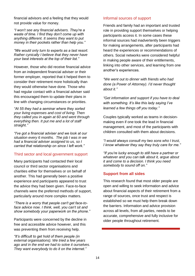financial advisors and a feeling that they would not provide value for money.

*"I won't see any financial advisers. They're a waste of time. I find they don't come up with anything different. It seems they want to put money in their pockets rather than help you."* 

*"We would only turn to experts as a last resort. Rather cynically I believe that they never have your best interests at the top of their list."*

However, those who did receive financial advice from an independent financial adviser or their former employer, reported that it helped them to consider their retirement more holistically than they would otherwise have done. Those who had regular contact with a financial adviser said this encouraged them to update their plans in line with changing circumstances or priorities.

*"At 55 they had a seminar where they sorted your living expenses and cost of living. Then they called you in again at 60 and went through everything then. It put me and a lot of staff straight."* 

*"I've got a financial adviser and we look at our situation every 6 months. The job I was in we had a financial adviser assigned to us, so I carried that relationship on since I left work."* 

#### Third sector and local government support

Many participants had contacted their local council or third sector organisations and charities either for themselves or on behalf of another. This had generally been a positive experience and participants appeared to trust the advice they had been given. Face-to-face channels were the preferred methods of support, particularly around more complex matters.

*"There is a worry that people can't get face-toface advice now. I think, well, you can't sit and show somebody your paperwork on the phone."* 

Participants were concerned by the decline in free and accessible advice however, and this was preventing them from receiving help.

*"It's difficult to get hold of them people (in external organisations). We tried a few years ago and in the end we had to solve it ourselves. They want everybody to do it on the internet."* 

#### Informal sources of support

Friends and family had an important and trusted role in providing support themselves or helping participants access it. In some cases these informal sources had inadvertently been triggers for making arrangements, after participants had heard the experiences or recommendations of others. Social networks were considered helpful in making people aware of their entitlements, linking into other services, and learning from one another's experiences.

*"We went out to dinner with friends who had done (a Power of Attorney). I'd never thought about it."*

*"Get information and support if you have to deal with something. It's like this lady saying I've learned a few things off you today."*

Couples typically worked as teams in decisionmaking even if one took the lead in financial management, and most of the participants with children consulted with them about decisions.

*"I would always consult my two sons who I trust, I know whatever they say they truly care for me."* 

*"If you're lucky enough to still have a partner or whatever and you can talk about it, argue about it and come to a decision. I think you need somebody to sound off on."* 

#### **Support from all sides**

This research found that most older people are open and willing to seek information and advice about financial aspects of their retirement from a range of sources, once trust and respect is established so we must help them break down the barriers. Information and advice provision across all levels, from all parties, needs to be accurate, comprehensive and fully inclusive for older people throughout retirement.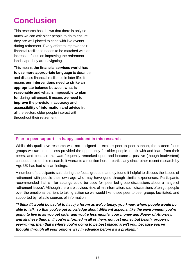# **Conclusion**

This research has shown that there is only so much we can ask older people to do to ensure they are well placed to cope with live events during retirement. Every effort to improve their financial resilience needs to be matched with an increased focus on improving the retirement landscape they are navigating.

This means **the financial services world has to use more appropriate language** to describe and discuss financial resilience in later life. It means **our interventions need to strike an appropriate balance between what is reasonable and what is impossible to plan for** during retirement. It means **we need to improve the provision, accuracy and accessibility of information and advice** from all the sectors older people interact with throughout their retirement.

#### **Peer to peer support – a happy accident in this research**

Whilst this qualitative research was not designed to explore peer to peer support, the sixteen focus groups we ran nonetheless provided the opportunity for older people to talk with and learn from their peers, and because this was frequently remarked upon and became a positive (though inadvertent) consequence of this research, it warrants a mention here – particularly since other recent research by Age UK has had similar findings.

A number of participants said during the focus groups that they found it helpful to discuss the issues of retirement with people their own age who may have gone through similar experiences. Participants recommended that similar settings could be used for 'peer led group discussions about a range of retirement issues'. Although there are obvious risks of misinformation, such discussions often got people over the emotional barriers to taking action so we would like to see peer to peer groups facilitated, and supported by reliable sources of information.

*"I think (it would be useful to have) a forum as we've today, you know, where people would be able to talk, so that you've got knowledge about different aspects, like the environment you're going to live in as you get older and you're less mobile, your money and Power of Attorney, and all these things. If you're informed in all of them, not just money but health, property, everything, then that's where you're going to be best placed aren't you, because you've thought through all your options way in advance before it's a problem."*